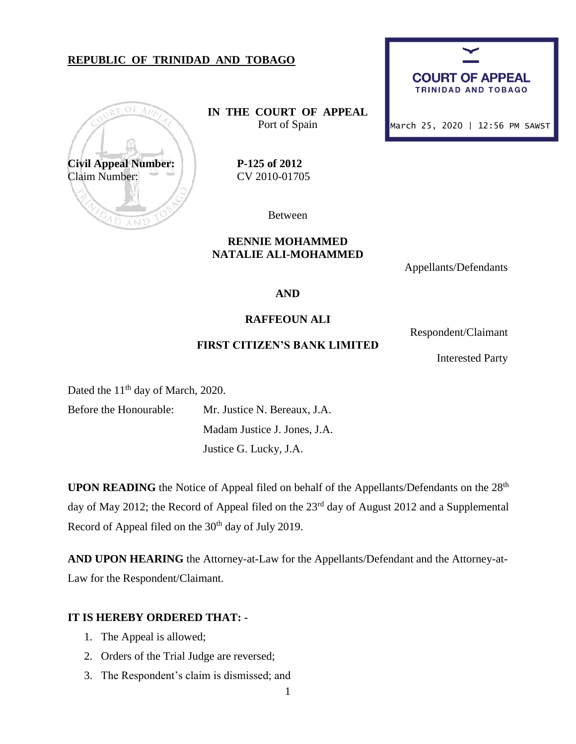## **REPUBLIC OF TRINIDAD AND TOBAGO**



**IN THE COURT OF APPEAL** Port of Spain



March 25, 2020 | 12:56 PM SAWST

Between

# **RENNIE MOHAMMED NATALIE ALI-MOHAMMED**

Appellants/Defendants

**AND**

### **RAFFEOUN ALI**

**FIRST CITIZEN'S BANK LIMITED**

Interested Party

Respondent/Claimant

Dated the 11<sup>th</sup> day of March, 2020.

Before the Honourable: Mr. Justice N. Bereaux, J.A. Madam Justice J. Jones, J.A. Justice G. Lucky, J.A.

**UPON READING** the Notice of Appeal filed on behalf of the Appellants/Defendants on the 28<sup>th</sup> day of May 2012; the Record of Appeal filed on the 23<sup>rd</sup> day of August 2012 and a Supplemental Record of Appeal filed on the 30<sup>th</sup> day of July 2019.

**AND UPON HEARING** the Attorney-at-Law for the Appellants/Defendant and the Attorney-at-Law for the Respondent/Claimant.

## **IT IS HEREBY ORDERED THAT: -**

- 1. The Appeal is allowed;
- 2. Orders of the Trial Judge are reversed;
- 3. The Respondent's claim is dismissed; and